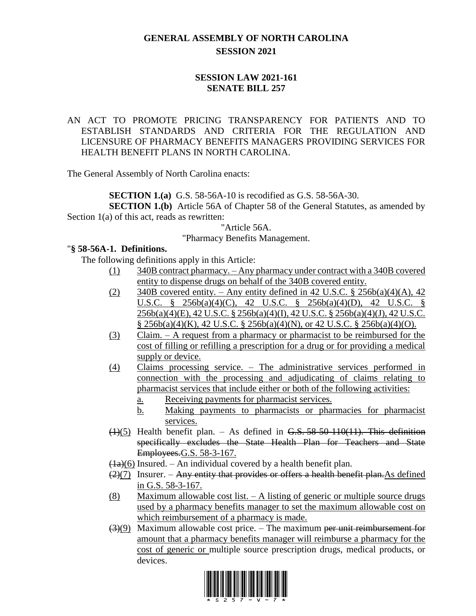# **GENERAL ASSEMBLY OF NORTH CAROLINA SESSION 2021**

## **SESSION LAW 2021-161 SENATE BILL 257**

## AN ACT TO PROMOTE PRICING TRANSPARENCY FOR PATIENTS AND TO ESTABLISH STANDARDS AND CRITERIA FOR THE REGULATION AND LICENSURE OF PHARMACY BENEFITS MANAGERS PROVIDING SERVICES FOR HEALTH BENEFIT PLANS IN NORTH CAROLINA.

The General Assembly of North Carolina enacts:

**SECTION 1.(a)** G.S. 58-56A-10 is recodified as G.S. 58-56A-30.

**SECTION 1.(b)** Article 56A of Chapter 58 of the General Statutes, as amended by Section 1(a) of this act, reads as rewritten:

"Article 56A.

#### "Pharmacy Benefits Management.

#### "**§ 58-56A-1. Definitions.**

The following definitions apply in this Article:

- (1) 340B contract pharmacy. Any pharmacy under contract with a 340B covered entity to dispense drugs on behalf of the 340B covered entity.
- (2) 340B covered entity. Any entity defined in 42 U.S.C.  $\S$  256b(a)(4)(A), 42 U.S.C. § 256b(a)(4)(C), 42 U.S.C. § 256b(a)(4)(D), 42 U.S.C. § 256b(a)(4)(E), 42 U.S.C. § 256b(a)(4)(I), 42 U.S.C. § 256b(a)(4)(J), 42 U.S.C. § 256b(a)(4)(K), 42 U.S.C. § 256b(a)(4)(N), or 42 U.S.C. § 256b(a)(4)(O).
- (3) Claim. A request from a pharmacy or pharmacist to be reimbursed for the cost of filling or refilling a prescription for a drug or for providing a medical supply or device.
- (4) Claims processing service. The administrative services performed in connection with the processing and adjudicating of claims relating to pharmacist services that include either or both of the following activities:
	- a. Receiving payments for pharmacist services.
	- b. Making payments to pharmacists or pharmacies for pharmacist services.
- $(1)(5)$  Health benefit plan. As defined in G.S. 58-50-110(11). This definition specifically excludes the State Health Plan for Teachers and State Employees.G.S. 58-3-167.
- $\left(\frac{1}{a}\right)\left(\frac{6}{b}\right)$  Insured. An individual covered by a health benefit plan.
- $(2)(7)$  Insurer. Any entity that provides or offers a health benefit plan. As defined in G.S. 58-3-167.
- (8) Maximum allowable cost list.  $-$  A listing of generic or multiple source drugs used by a pharmacy benefits manager to set the maximum allowable cost on which reimbursement of a pharmacy is made.
- $\left(\frac{3}{9}\right)$  Maximum allowable cost price. The maximum per unit reimbursement for amount that a pharmacy benefits manager will reimburse a pharmacy for the cost of generic or multiple source prescription drugs, medical products, or devices.

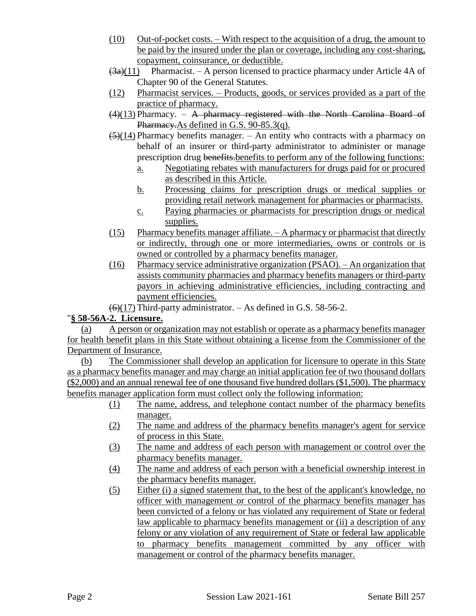- (10) Out-of-pocket costs. With respect to the acquisition of a drug, the amount to be paid by the insured under the plan or coverage, including any cost-sharing, copayment, coinsurance, or deductible.
- $(3a)(11)$  Pharmacist. A person licensed to practice pharmacy under Article 4A of Chapter 90 of the General Statutes.
- (12) Pharmacist services. Products, goods, or services provided as a part of the practice of pharmacy.
- $(4)(13)$  Pharmacy. A pharmacy registered with the North Carolina Board of Pharmacy. As defined in G.S. 90-85.3(q).
- $\left(\frac{5}{14}\right)$  Pharmacy benefits manager. An entity who contracts with a pharmacy on behalf of an insurer or third-party administrator to administer or manage prescription drug benefits.benefits to perform any of the following functions:
	- a. Negotiating rebates with manufacturers for drugs paid for or procured as described in this Article.
	- b. Processing claims for prescription drugs or medical supplies or providing retail network management for pharmacies or pharmacists.
	- c. Paying pharmacies or pharmacists for prescription drugs or medical supplies.
- (15) Pharmacy benefits manager affiliate.  $-$  A pharmacy or pharmacist that directly or indirectly, through one or more intermediaries, owns or controls or is owned or controlled by a pharmacy benefits manager.
- (16) Pharmacy service administrative organization (PSAO). An organization that assists community pharmacies and pharmacy benefits managers or third-party payors in achieving administrative efficiencies, including contracting and payment efficiencies.

 $(6)(17)$  Third-party administrator.  $-$  As defined in G.S. 58-56-2.

# "**§ 58-56A-2. Licensure.**

(a) A person or organization may not establish or operate as a pharmacy benefits manager for health benefit plans in this State without obtaining a license from the Commissioner of the Department of Insurance.

(b) The Commissioner shall develop an application for licensure to operate in this State as a pharmacy benefits manager and may charge an initial application fee of two thousand dollars (\$2,000) and an annual renewal fee of one thousand five hundred dollars (\$1,500). The pharmacy benefits manager application form must collect only the following information:

- (1) The name, address, and telephone contact number of the pharmacy benefits manager.
- (2) The name and address of the pharmacy benefits manager's agent for service of process in this State.
- (3) The name and address of each person with management or control over the pharmacy benefits manager.
- (4) The name and address of each person with a beneficial ownership interest in the pharmacy benefits manager.
- (5) Either (i) a signed statement that, to the best of the applicant's knowledge, no officer with management or control of the pharmacy benefits manager has been convicted of a felony or has violated any requirement of State or federal law applicable to pharmacy benefits management or (ii) a description of any felony or any violation of any requirement of State or federal law applicable to pharmacy benefits management committed by any officer with management or control of the pharmacy benefits manager.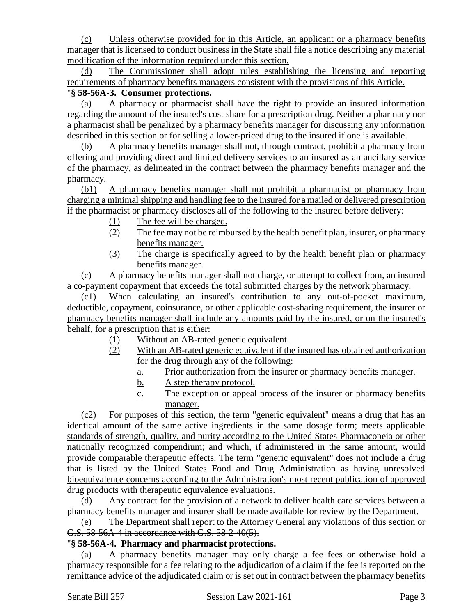(c) Unless otherwise provided for in this Article, an applicant or a pharmacy benefits manager that is licensed to conduct business in the State shall file a notice describing any material modification of the information required under this section.

(d) The Commissioner shall adopt rules establishing the licensing and reporting requirements of pharmacy benefits managers consistent with the provisions of this Article.

# "**§ 58-56A-3. Consumer protections.**

(a) A pharmacy or pharmacist shall have the right to provide an insured information regarding the amount of the insured's cost share for a prescription drug. Neither a pharmacy nor a pharmacist shall be penalized by a pharmacy benefits manager for discussing any information described in this section or for selling a lower-priced drug to the insured if one is available.

(b) A pharmacy benefits manager shall not, through contract, prohibit a pharmacy from offering and providing direct and limited delivery services to an insured as an ancillary service of the pharmacy, as delineated in the contract between the pharmacy benefits manager and the pharmacy.

(b1) A pharmacy benefits manager shall not prohibit a pharmacist or pharmacy from charging a minimal shipping and handling fee to the insured for a mailed or delivered prescription if the pharmacist or pharmacy discloses all of the following to the insured before delivery:

- (1) The fee will be charged.
- (2) The fee may not be reimbursed by the health benefit plan, insurer, or pharmacy benefits manager.
- (3) The charge is specifically agreed to by the health benefit plan or pharmacy benefits manager.

(c) A pharmacy benefits manager shall not charge, or attempt to collect from, an insured a co-payment copayment that exceeds the total submitted charges by the network pharmacy.

(c1) When calculating an insured's contribution to any out-of-pocket maximum, deductible, copayment, coinsurance, or other applicable cost-sharing requirement, the insurer or pharmacy benefits manager shall include any amounts paid by the insured, or on the insured's behalf, for a prescription that is either:

- (1) Without an AB-rated generic equivalent.
- (2) With an AB-rated generic equivalent if the insured has obtained authorization for the drug through any of the following:
	- a. Prior authorization from the insurer or pharmacy benefits manager.
	- b. A step therapy protocol.
	- c. The exception or appeal process of the insurer or pharmacy benefits manager.

(c2) For purposes of this section, the term "generic equivalent" means a drug that has an identical amount of the same active ingredients in the same dosage form; meets applicable standards of strength, quality, and purity according to the United States Pharmacopeia or other nationally recognized compendium; and which, if administered in the same amount, would provide comparable therapeutic effects. The term "generic equivalent" does not include a drug that is listed by the United States Food and Drug Administration as having unresolved bioequivalence concerns according to the Administration's most recent publication of approved drug products with therapeutic equivalence evaluations.

(d) Any contract for the provision of a network to deliver health care services between a pharmacy benefits manager and insurer shall be made available for review by the Department.

(e) The Department shall report to the Attorney General any violations of this section or G.S. 58-56A-4 in accordance with G.S. 58-2-40(5).

## "**§ 58-56A-4. Pharmacy and pharmacist protections.**

(a) A pharmacy benefits manager may only charge a fee fees or otherwise hold a pharmacy responsible for a fee relating to the adjudication of a claim if the fee is reported on the remittance advice of the adjudicated claim or is set out in contract between the pharmacy benefits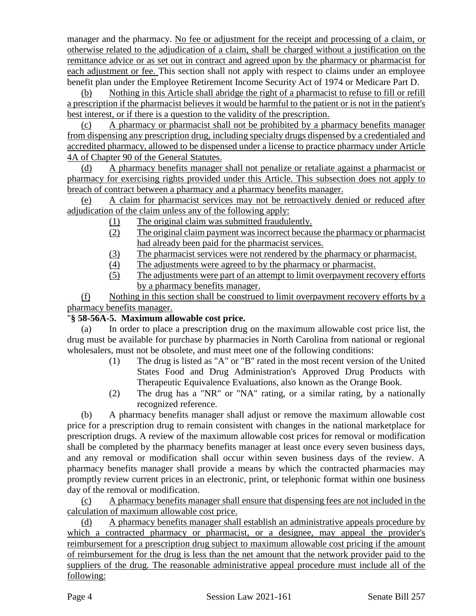manager and the pharmacy. No fee or adjustment for the receipt and processing of a claim, or otherwise related to the adjudication of a claim, shall be charged without a justification on the remittance advice or as set out in contract and agreed upon by the pharmacy or pharmacist for each adjustment or fee. This section shall not apply with respect to claims under an employee benefit plan under the Employee Retirement Income Security Act of 1974 or Medicare Part D.

Nothing in this Article shall abridge the right of a pharmacist to refuse to fill or refill a prescription if the pharmacist believes it would be harmful to the patient or is not in the patient's best interest, or if there is a question to the validity of the prescription.

(c) A pharmacy or pharmacist shall not be prohibited by a pharmacy benefits manager from dispensing any prescription drug, including specialty drugs dispensed by a credentialed and accredited pharmacy, allowed to be dispensed under a license to practice pharmacy under Article 4A of Chapter 90 of the General Statutes.

(d) A pharmacy benefits manager shall not penalize or retaliate against a pharmacist or pharmacy for exercising rights provided under this Article. This subsection does not apply to breach of contract between a pharmacy and a pharmacy benefits manager.

(e) A claim for pharmacist services may not be retroactively denied or reduced after adjudication of the claim unless any of the following apply:

- (1) The original claim was submitted fraudulently.
- (2) The original claim payment was incorrect because the pharmacy or pharmacist had already been paid for the pharmacist services.
- (3) The pharmacist services were not rendered by the pharmacy or pharmacist.
- (4) The adjustments were agreed to by the pharmacy or pharmacist.
- (5) The adjustments were part of an attempt to limit overpayment recovery efforts by a pharmacy benefits manager.

(f) Nothing in this section shall be construed to limit overpayment recovery efforts by a pharmacy benefits manager.

# "**§ 58-56A-5. Maximum allowable cost price.**

(a) In order to place a prescription drug on the maximum allowable cost price list, the drug must be available for purchase by pharmacies in North Carolina from national or regional wholesalers, must not be obsolete, and must meet one of the following conditions:

- (1) The drug is listed as "A" or "B" rated in the most recent version of the United States Food and Drug Administration's Approved Drug Products with Therapeutic Equivalence Evaluations, also known as the Orange Book.
- (2) The drug has a "NR" or "NA" rating, or a similar rating, by a nationally recognized reference.

(b) A pharmacy benefits manager shall adjust or remove the maximum allowable cost price for a prescription drug to remain consistent with changes in the national marketplace for prescription drugs. A review of the maximum allowable cost prices for removal or modification shall be completed by the pharmacy benefits manager at least once every seven business days, and any removal or modification shall occur within seven business days of the review. A pharmacy benefits manager shall provide a means by which the contracted pharmacies may promptly review current prices in an electronic, print, or telephonic format within one business day of the removal or modification.

(c) A pharmacy benefits manager shall ensure that dispensing fees are not included in the calculation of maximum allowable cost price.

(d) A pharmacy benefits manager shall establish an administrative appeals procedure by which a contracted pharmacy or pharmacist, or a designee, may appeal the provider's reimbursement for a prescription drug subject to maximum allowable cost pricing if the amount of reimbursement for the drug is less than the net amount that the network provider paid to the suppliers of the drug. The reasonable administrative appeal procedure must include all of the following: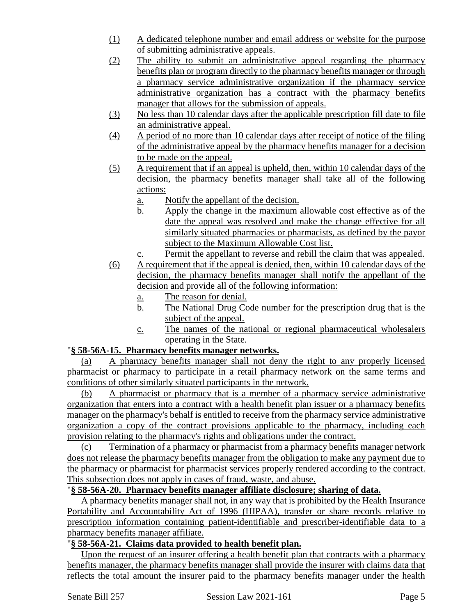- (1) A dedicated telephone number and email address or website for the purpose of submitting administrative appeals.
- (2) The ability to submit an administrative appeal regarding the pharmacy benefits plan or program directly to the pharmacy benefits manager or through a pharmacy service administrative organization if the pharmacy service administrative organization has a contract with the pharmacy benefits manager that allows for the submission of appeals.
- (3) No less than 10 calendar days after the applicable prescription fill date to file an administrative appeal.
- (4) A period of no more than 10 calendar days after receipt of notice of the filing of the administrative appeal by the pharmacy benefits manager for a decision to be made on the appeal.
- (5) A requirement that if an appeal is upheld, then, within 10 calendar days of the decision, the pharmacy benefits manager shall take all of the following actions:
	- a. Notify the appellant of the decision.
	- b. Apply the change in the maximum allowable cost effective as of the date the appeal was resolved and make the change effective for all similarly situated pharmacies or pharmacists, as defined by the payor subject to the Maximum Allowable Cost list.
	- c. Permit the appellant to reverse and rebill the claim that was appealed.
- (6) A requirement that if the appeal is denied, then, within 10 calendar days of the decision, the pharmacy benefits manager shall notify the appellant of the decision and provide all of the following information:
	- a. The reason for denial.
	- b. The National Drug Code number for the prescription drug that is the subject of the appeal.
	- c. The names of the national or regional pharmaceutical wholesalers operating in the State.

## "**§ 58-56A-15. Pharmacy benefits manager networks.**

(a) A pharmacy benefits manager shall not deny the right to any properly licensed pharmacist or pharmacy to participate in a retail pharmacy network on the same terms and conditions of other similarly situated participants in the network.

(b) A pharmacist or pharmacy that is a member of a pharmacy service administrative organization that enters into a contract with a health benefit plan issuer or a pharmacy benefits manager on the pharmacy's behalf is entitled to receive from the pharmacy service administrative organization a copy of the contract provisions applicable to the pharmacy, including each provision relating to the pharmacy's rights and obligations under the contract.

(c) Termination of a pharmacy or pharmacist from a pharmacy benefits manager network does not release the pharmacy benefits manager from the obligation to make any payment due to the pharmacy or pharmacist for pharmacist services properly rendered according to the contract. This subsection does not apply in cases of fraud, waste, and abuse.

#### "**§ 58-56A-20. Pharmacy benefits manager affiliate disclosure; sharing of data.**

A pharmacy benefits manager shall not, in any way that is prohibited by the Health Insurance Portability and Accountability Act of 1996 (HIPAA), transfer or share records relative to prescription information containing patient-identifiable and prescriber-identifiable data to a pharmacy benefits manager affiliate.

#### "**§ 58-56A-21. Claims data provided to health benefit plan.**

Upon the request of an insurer offering a health benefit plan that contracts with a pharmacy benefits manager, the pharmacy benefits manager shall provide the insurer with claims data that reflects the total amount the insurer paid to the pharmacy benefits manager under the health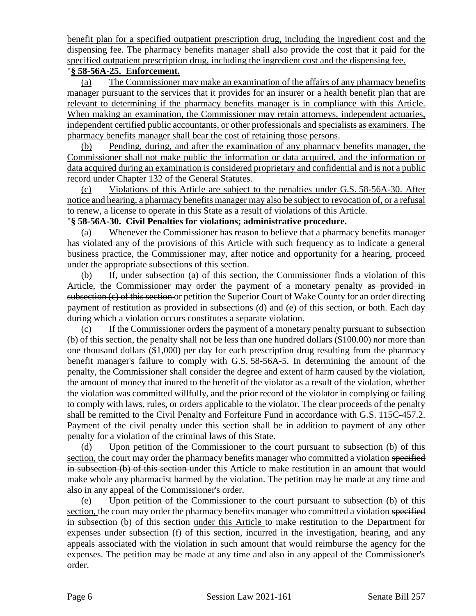benefit plan for a specified outpatient prescription drug, including the ingredient cost and the dispensing fee. The pharmacy benefits manager shall also provide the cost that it paid for the specified outpatient prescription drug, including the ingredient cost and the dispensing fee.

#### "**§ 58-56A-25. Enforcement.**

(a) The Commissioner may make an examination of the affairs of any pharmacy benefits manager pursuant to the services that it provides for an insurer or a health benefit plan that are relevant to determining if the pharmacy benefits manager is in compliance with this Article. When making an examination, the Commissioner may retain attorneys, independent actuaries, independent certified public accountants, or other professionals and specialists as examiners. The pharmacy benefits manager shall bear the cost of retaining those persons.

(b) Pending, during, and after the examination of any pharmacy benefits manager, the Commissioner shall not make public the information or data acquired, and the information or data acquired during an examination is considered proprietary and confidential and is not a public record under Chapter 132 of the General Statutes.

(c) Violations of this Article are subject to the penalties under G.S. 58-56A-30. After notice and hearing, a pharmacy benefits manager may also be subject to revocation of, or a refusal to renew, a license to operate in this State as a result of violations of this Article.

#### "**§ 58-56A-30. Civil Penalties for violations; administrative procedure.**

(a) Whenever the Commissioner has reason to believe that a pharmacy benefits manager has violated any of the provisions of this Article with such frequency as to indicate a general business practice, the Commissioner may, after notice and opportunity for a hearing, proceed under the appropriate subsections of this section.

(b) If, under subsection (a) of this section, the Commissioner finds a violation of this Article, the Commissioner may order the payment of a monetary penalty as provided in subsection (c) of this section or petition the Superior Court of Wake County for an order directing payment of restitution as provided in subsections (d) and (e) of this section, or both. Each day during which a violation occurs constitutes a separate violation.

(c) If the Commissioner orders the payment of a monetary penalty pursuant to subsection (b) of this section, the penalty shall not be less than one hundred dollars (\$100.00) nor more than one thousand dollars (\$1,000) per day for each prescription drug resulting from the pharmacy benefit manager's failure to comply with G.S. 58-56A-5. In determining the amount of the penalty, the Commissioner shall consider the degree and extent of harm caused by the violation, the amount of money that inured to the benefit of the violator as a result of the violation, whether the violation was committed willfully, and the prior record of the violator in complying or failing to comply with laws, rules, or orders applicable to the violator. The clear proceeds of the penalty shall be remitted to the Civil Penalty and Forfeiture Fund in accordance with G.S. 115C-457.2. Payment of the civil penalty under this section shall be in addition to payment of any other penalty for a violation of the criminal laws of this State.

(d) Upon petition of the Commissioner to the court pursuant to subsection (b) of this section, the court may order the pharmacy benefits manager who committed a violation specified in subsection (b) of this section under this Article to make restitution in an amount that would make whole any pharmacist harmed by the violation. The petition may be made at any time and also in any appeal of the Commissioner's order.

(e) Upon petition of the Commissioner to the court pursuant to subsection (b) of this section, the court may order the pharmacy benefits manager who committed a violation specified in subsection (b) of this section under this Article to make restitution to the Department for expenses under subsection (f) of this section, incurred in the investigation, hearing, and any appeals associated with the violation in such amount that would reimburse the agency for the expenses. The petition may be made at any time and also in any appeal of the Commissioner's order.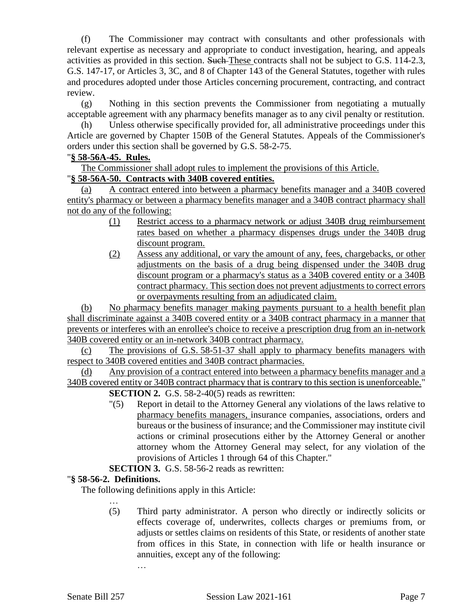(f) The Commissioner may contract with consultants and other professionals with relevant expertise as necessary and appropriate to conduct investigation, hearing, and appeals activities as provided in this section. Such These contracts shall not be subject to G.S. 114-2.3, G.S. 147-17, or Articles 3, 3C, and 8 of Chapter 143 of the General Statutes, together with rules and procedures adopted under those Articles concerning procurement, contracting, and contract review.

(g) Nothing in this section prevents the Commissioner from negotiating a mutually acceptable agreement with any pharmacy benefits manager as to any civil penalty or restitution.

(h) Unless otherwise specifically provided for, all administrative proceedings under this Article are governed by Chapter 150B of the General Statutes. Appeals of the Commissioner's orders under this section shall be governed by G.S. 58-2-75.

# "**§ 58-56A-45. Rules.**

The Commissioner shall adopt rules to implement the provisions of this Article.

# "**§ 58-56A-50. Contracts with 340B covered entities.**

(a) A contract entered into between a pharmacy benefits manager and a 340B covered entity's pharmacy or between a pharmacy benefits manager and a 340B contract pharmacy shall not do any of the following:

- (1) Restrict access to a pharmacy network or adjust 340B drug reimbursement rates based on whether a pharmacy dispenses drugs under the 340B drug discount program.
- (2) Assess any additional, or vary the amount of any, fees, chargebacks, or other adjustments on the basis of a drug being dispensed under the 340B drug discount program or a pharmacy's status as a 340B covered entity or a 340B contract pharmacy. This section does not prevent adjustments to correct errors or overpayments resulting from an adjudicated claim.

(b) No pharmacy benefits manager making payments pursuant to a health benefit plan shall discriminate against a 340B covered entity or a 340B contract pharmacy in a manner that prevents or interferes with an enrollee's choice to receive a prescription drug from an in-network 340B covered entity or an in-network 340B contract pharmacy.

(c) The provisions of G.S. 58-51-37 shall apply to pharmacy benefits managers with respect to 340B covered entities and 340B contract pharmacies.

(d) Any provision of a contract entered into between a pharmacy benefits manager and a 340B covered entity or 340B contract pharmacy that is contrary to this section is unenforceable." **SECTION 2.** G.S. 58-2-40(5) reads as rewritten:

> "(5) Report in detail to the Attorney General any violations of the laws relative to pharmacy benefits managers, insurance companies, associations, orders and bureaus or the business of insurance; and the Commissioner may institute civil actions or criminal prosecutions either by the Attorney General or another attorney whom the Attorney General may select, for any violation of the provisions of Articles 1 through 64 of this Chapter."

## **SECTION 3.** G.S. 58-56-2 reads as rewritten:

## "**§ 58-56-2. Definitions.**

The following definitions apply in this Article:

… (5) Third party administrator. A person who directly or indirectly solicits or effects coverage of, underwrites, collects charges or premiums from, or adjusts or settles claims on residents of this State, or residents of another state from offices in this State, in connection with life or health insurance or annuities, except any of the following:

…